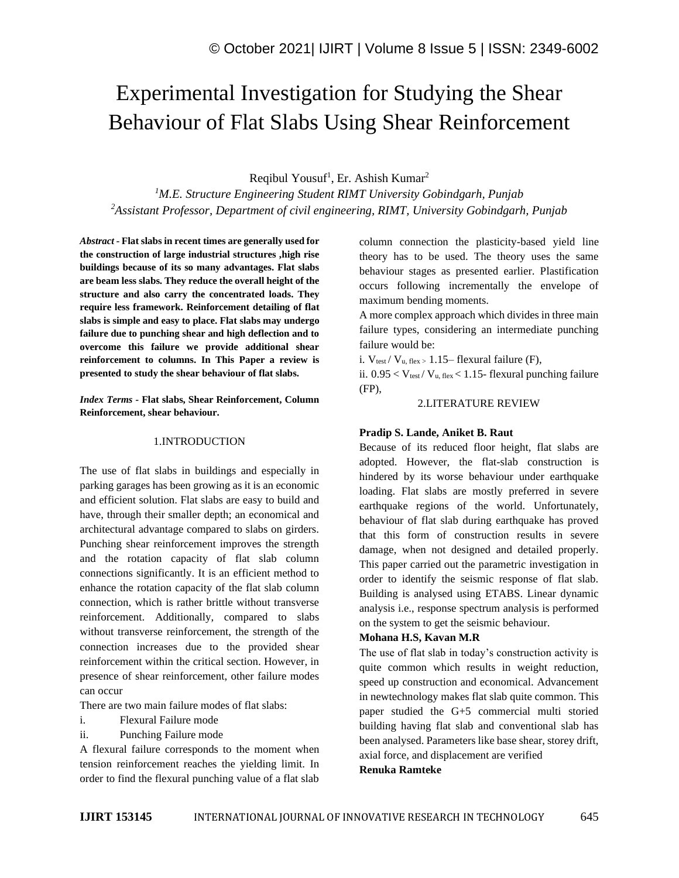# Experimental Investigation for Studying the Shear Behaviour of Flat Slabs Using Shear Reinforcement

Reqibul Yousuf<sup>1</sup>, Er. Ashish Kumar<sup>2</sup>

*<sup>1</sup>M.E. Structure Engineering Student RIMT University Gobindgarh, Punjab <sup>2</sup>Assistant Professor, Department of civil engineering, RIMT, University Gobindgarh, Punjab*

*Abstract -* **Flat slabs in recent times are generally used for the construction of large industrial structures ,high rise buildings because of its so many advantages. Flat slabs are beam less slabs. They reduce the overall height of the structure and also carry the concentrated loads. They require less framework. Reinforcement detailing of flat slabs is simple and easy to place. Flat slabs may undergo failure due to punching shear and high deflection and to overcome this failure we provide additional shear reinforcement to columns. In This Paper a review is presented to study the shear behaviour of flat slabs.**

*Index Terms -* **Flat slabs, Shear Reinforcement, Column Reinforcement, shear behaviour.**

#### 1.INTRODUCTION

The use of flat slabs in buildings and especially in parking garages has been growing as it is an economic and efficient solution. Flat slabs are easy to build and have, through their smaller depth; an economical and architectural advantage compared to slabs on girders. Punching shear reinforcement improves the strength and the rotation capacity of flat slab column connections significantly. It is an efficient method to enhance the rotation capacity of the flat slab column connection, which is rather brittle without transverse reinforcement. Additionally, compared to slabs without transverse reinforcement, the strength of the connection increases due to the provided shear reinforcement within the critical section. However, in presence of shear reinforcement, other failure modes can occur

There are two main failure modes of flat slabs:

- i. Flexural Failure mode
- ii. Punching Failure mode

A flexural failure corresponds to the moment when tension reinforcement reaches the yielding limit. In order to find the flexural punching value of a flat slab

column connection the plasticity-based yield line theory has to be used. The theory uses the same behaviour stages as presented earlier. Plastification occurs following incrementally the envelope of maximum bending moments.

A more complex approach which divides in three main failure types, considering an intermediate punching failure would be:

i.  $V_{test}$  /  $V_{u, flex}$  = 1.15– flexural failure (F),

ii.  $0.95 < V_{\text{test}} / V_{\text{u, flex}} < 1.15$ - flexural punching failure (FP),

## 2.LITERATURE REVIEW

### **Pradip S. Lande, Aniket B. Raut**

Because of its reduced floor height, flat slabs are adopted. However, the flat-slab construction is hindered by its worse behaviour under earthquake loading. Flat slabs are mostly preferred in severe earthquake regions of the world. Unfortunately, behaviour of flat slab during earthquake has proved that this form of construction results in severe damage, when not designed and detailed properly. This paper carried out the parametric investigation in order to identify the seismic response of flat slab. Building is analysed using ETABS. Linear dynamic analysis i.e., response spectrum analysis is performed on the system to get the seismic behaviour.

#### **Mohana H.S, Kavan M.R**

The use of flat slab in today's construction activity is quite common which results in weight reduction, speed up construction and economical. Advancement in newtechnology makes flat slab quite common. This paper studied the G+5 commercial multi storied building having flat slab and conventional slab has been analysed. Parameters like base shear, storey drift, axial force, and displacement are verified **Renuka Ramteke**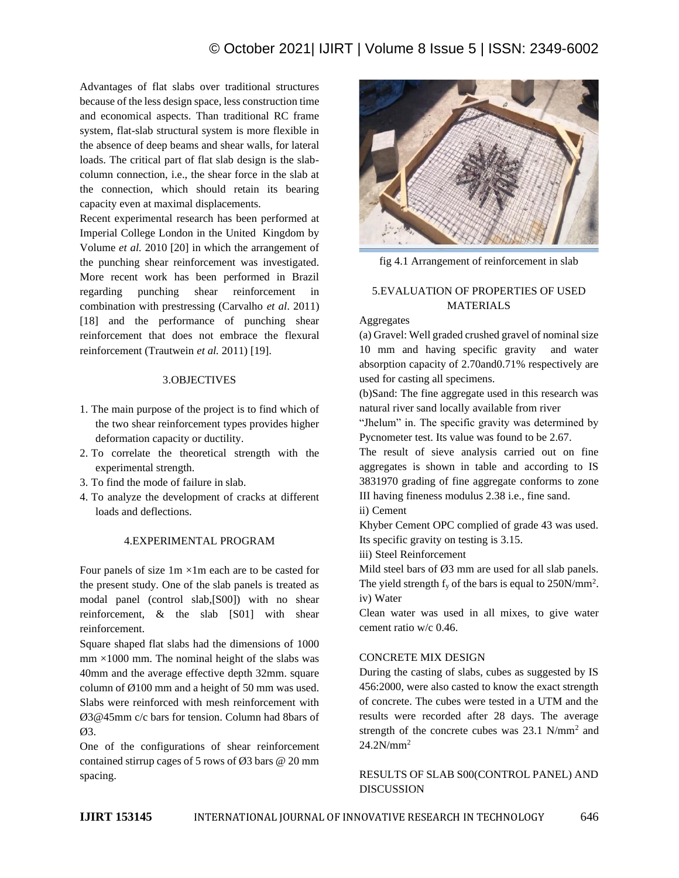Advantages of flat slabs over traditional structures because of the less design space, less construction time and economical aspects. Than traditional RC frame system, flat-slab structural system is more flexible in the absence of deep beams and shear walls, for lateral loads. The critical part of flat slab design is the slabcolumn connection, i.e., the shear force in the slab at the connection, which should retain its bearing capacity even at maximal displacements.

Recent experimental research has been performed at Imperial College London in the United Kingdom by Volume *et al.* 2010 [20] in which the arrangement of the punching shear reinforcement was investigated. More recent work has been performed in Brazil regarding punching shear reinforcement in combination with prestressing (Carvalho *et al*. 2011) [18] and the performance of punching shear reinforcement that does not embrace the flexural reinforcement (Trautwein *et al.* 2011) [19].

## 3.OBJECTIVES

- 1. The main purpose of the project is to find which of the two shear reinforcement types provides higher deformation capacity or ductility.
- 2. To correlate the theoretical strength with the experimental strength.
- 3. To find the mode of failure in slab.
- 4. To analyze the development of cracks at different loads and deflections.

# 4.EXPERIMENTAL PROGRAM

Four panels of size  $1m \times 1m$  each are to be casted for the present study. One of the slab panels is treated as modal panel (control slab,[S00]) with no shear reinforcement, & the slab [S01] with shear reinforcement.

Square shaped flat slabs had the dimensions of 1000  $mm \times 1000$  mm. The nominal height of the slabs was 40mm and the average effective depth 32mm. square column of Ø100 mm and a height of 50 mm was used. Slabs were reinforced with mesh reinforcement with Ø3@45mm c/c bars for tension. Column had 8bars of Ø3.

One of the configurations of shear reinforcement contained stirrup cages of 5 rows of  $\varnothing$ 3 bars  $\varnothing$  20 mm spacing.



fig 4.1 Arrangement of reinforcement in slab

# 5.EVALUATION OF PROPERTIES OF USED MATERIALS

## Aggregates

(a) Gravel: Well graded crushed gravel of nominal size 10 mm and having specific gravity and water absorption capacity of 2.70and0.71% respectively are used for casting all specimens.

(b)Sand: The fine aggregate used in this research was natural river sand locally available from river

"Jhelum" in. The specific gravity was determined by Pycnometer test. Its value was found to be 2.67.

The result of sieve analysis carried out on fine aggregates is shown in table and according to IS 3831970 grading of fine aggregate conforms to zone III having fineness modulus 2.38 i.e., fine sand.

ii) Cement

Khyber Cement OPC complied of grade 43 was used. Its specific gravity on testing is 3.15.

iii) Steel Reinforcement

Mild steel bars of  $\emptyset$ 3 mm are used for all slab panels. The yield strength  $f_y$  of the bars is equal to 250N/mm<sup>2</sup>. iv) Water

Clean water was used in all mixes, to give water cement ratio w/c 0.46.

# CONCRETE MIX DESIGN

During the casting of slabs, cubes as suggested by IS 456:2000, were also casted to know the exact strength of concrete. The cubes were tested in a UTM and the results were recorded after 28 days. The average strength of the concrete cubes was  $23.1 \text{ N/mm}^2$  and  $24.2N/mm^2$ 

RESULTS OF SLAB S00(CONTROL PANEL) AND DISCUSSION